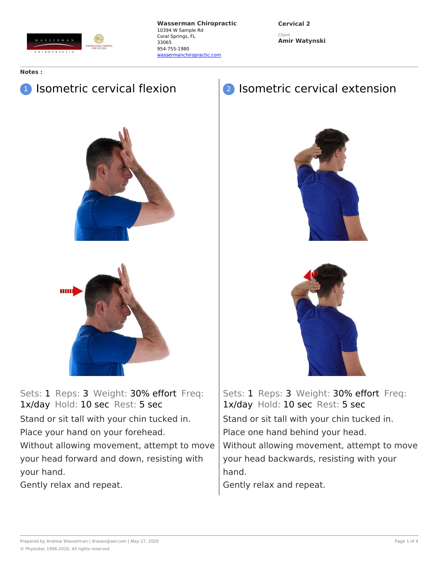

**Cervical 2** Client **Amir Watynski**

**Notes :**

# **1** Isometric cervical flexion



Sets: 1 Reps: 3 Weight: 30% effort Freq: 1x/day Hold: 10 sec Rest: 5 sec Stand or sit tall with your chin tucked in. Place your hand on your forehead. Without allowing movement, attempt to move your head forward and down, resisting with your hand.

Gently relax and repeat.

## 2 Isometric cervical extension





Sets: 1 Reps: 3 Weight: 30% effort Freq: 1x/day Hold: 10 sec Rest: 5 sec Stand or sit tall with your chin tucked in. Place one hand behind your head. Without allowing movement, attempt to move your head backwards, resisting with your hand.

Gently relax and repeat.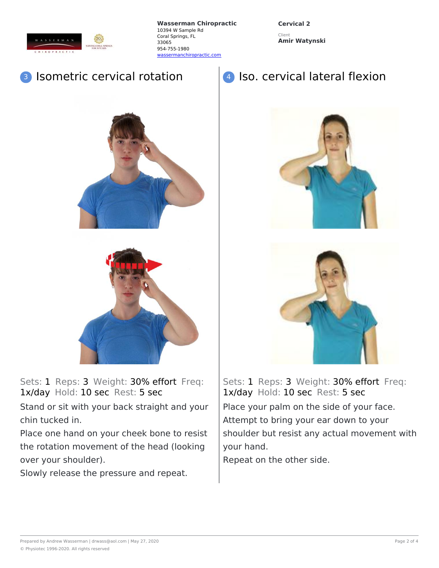

**Cervical 2** Client **Amir Watynski**

#### Isometric cervical rotation





Sets: 1 Reps: 3 Weight: 30% effort Freq: 1x/day Hold: 10 sec Rest: 5 sec

Stand or sit with your back straight and your chin tucked in.

Place one hand on your cheek bone to resist the rotation movement of the head (looking over your shoulder).

Slowly release the pressure and repeat.





Sets: 1 Reps: 3 Weight: 30% effort Freq: 1x/day Hold: 10 sec Rest: 5 sec Place your palm on the side of your face. Attempt to bring your ear down to your shoulder but resist any actual movement with your hand.

Repeat on the other side.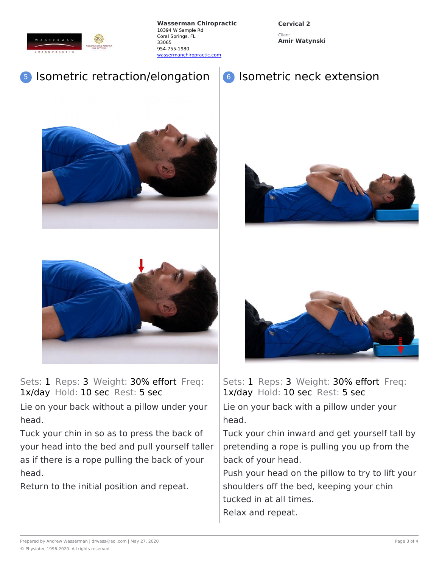

**Cervical 2** Client

**Amir Watynski**

## <sup>5</sup> Isometric retraction/elongation

### <sup>6</sup> Isometric neck extension







Sets: 1 Reps: 3 Weight: 30% effort Freq: 1x/day Hold: 10 sec Rest: 5 sec

Lie on your back without a pillow under your head.

Tuck your chin in so as to press the back of your head into the bed and pull yourself taller as if there is a rope pulling the back of your head.

Return to the initial position and repeat.



Sets: 1 Reps: 3 Weight: 30% effort Freq: 1x/day Hold: 10 sec Rest: 5 sec Lie on your back with a pillow under your

head. Tuck your chin inward and get yourself tall by pretending a rope is pulling you up from the

back of your head.

Push your head on the pillow to try to lift your shoulders off the bed, keeping your chin tucked in at all times. Relax and repeat.